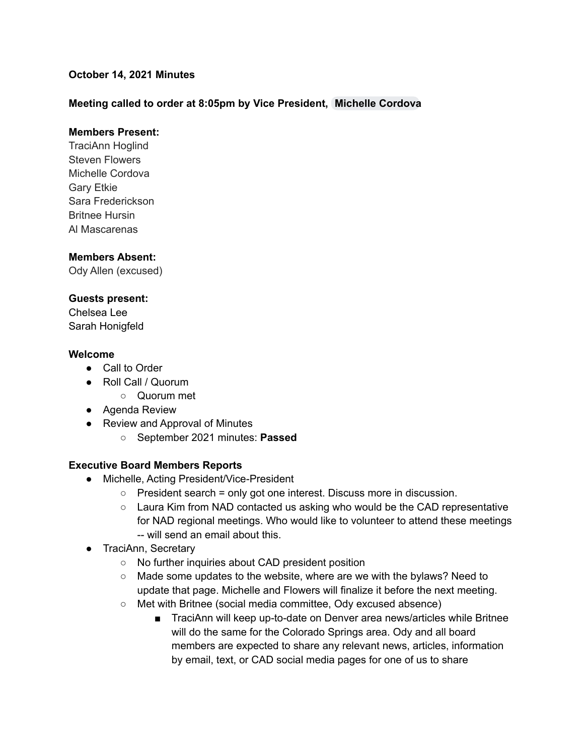## **October 14, 2021 Minutes**

## **Meeting called to order at 8:05pm by Vice President, [Michelle](mailto:mcordova@cadeaf.org) Cordova**

#### **Members Present:**

TraciAnn Hoglind Steven Flowers Michelle Cordova Gary Etkie Sara Frederickson Britnee Hursin Al Mascarenas

#### **Members Absent:**

Ody Allen (excused)

#### **Guests present:**

Chelsea Lee Sarah Honigfeld

#### **Welcome**

- Call to Order
- Roll Call / Quorum
	- Quorum met
- Agenda Review
- Review and Approval of Minutes
	- September 2021 minutes: **Passed**

#### **Executive Board Members Reports**

- Michelle, Acting President/Vice-President
	- President search = only got one interest. Discuss more in discussion.
	- Laura Kim from NAD contacted us asking who would be the CAD representative for NAD regional meetings. Who would like to volunteer to attend these meetings -- will send an email about this.
- TraciAnn, Secretary
	- No further inquiries about CAD president position
	- Made some updates to the website, where are we with the bylaws? Need to update that page. Michelle and Flowers will finalize it before the next meeting.
	- Met with Britnee (social media committee, Ody excused absence)
		- TraciAnn will keep up-to-date on Denver area news/articles while Britnee will do the same for the Colorado Springs area. Ody and all board members are expected to share any relevant news, articles, information by email, text, or CAD social media pages for one of us to share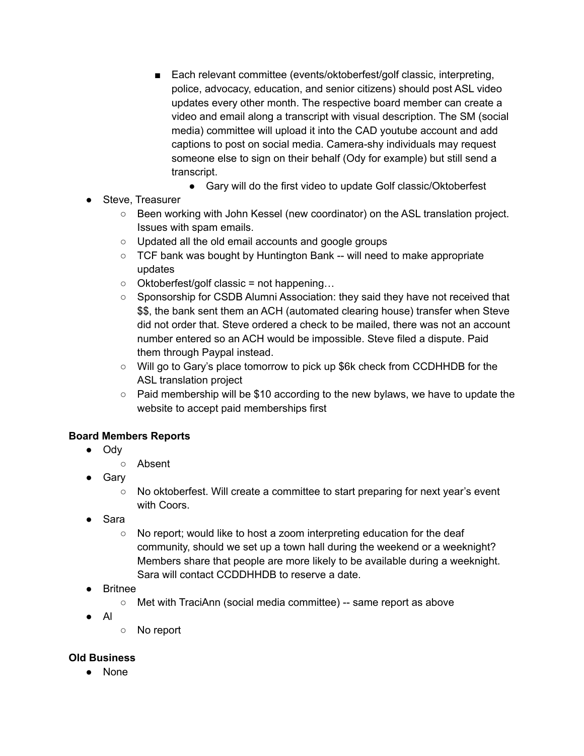- Each relevant committee (events/oktoberfest/golf classic, interpreting, police, advocacy, education, and senior citizens) should post ASL video updates every other month. The respective board member can create a video and email along a transcript with visual description. The SM (social media) committee will upload it into the CAD youtube account and add captions to post on social media. Camera-shy individuals may request someone else to sign on their behalf (Ody for example) but still send a transcript.
	- Gary will do the first video to update Golf classic/Oktoberfest
- Steve, Treasurer
	- Been working with John Kessel (new coordinator) on the ASL translation project. Issues with spam emails.
	- Updated all the old email accounts and google groups
	- TCF bank was bought by Huntington Bank -- will need to make appropriate updates
	- Oktoberfest/golf classic = not happening…
	- Sponsorship for CSDB Alumni Association: they said they have not received that \$\$, the bank sent them an ACH (automated clearing house) transfer when Steve did not order that. Steve ordered a check to be mailed, there was not an account number entered so an ACH would be impossible. Steve filed a dispute. Paid them through Paypal instead.
	- Will go to Gary's place tomorrow to pick up \$6k check from CCDHHDB for the ASL translation project
	- Paid membership will be \$10 according to the new bylaws, we have to update the website to accept paid memberships first

# **Board Members Reports**

- Ody
	- Absent
- Gary
	- No oktoberfest. Will create a committee to start preparing for next year's event with Coors.
- Sara
	- No report; would like to host a zoom interpreting education for the deaf community, should we set up a town hall during the weekend or a weeknight? Members share that people are more likely to be available during a weeknight. Sara will contact CCDDHHDB to reserve a date.
- **Britnee** 
	- Met with TraciAnn (social media committee) -- same report as above
- Al
- No report

# **Old Business**

● None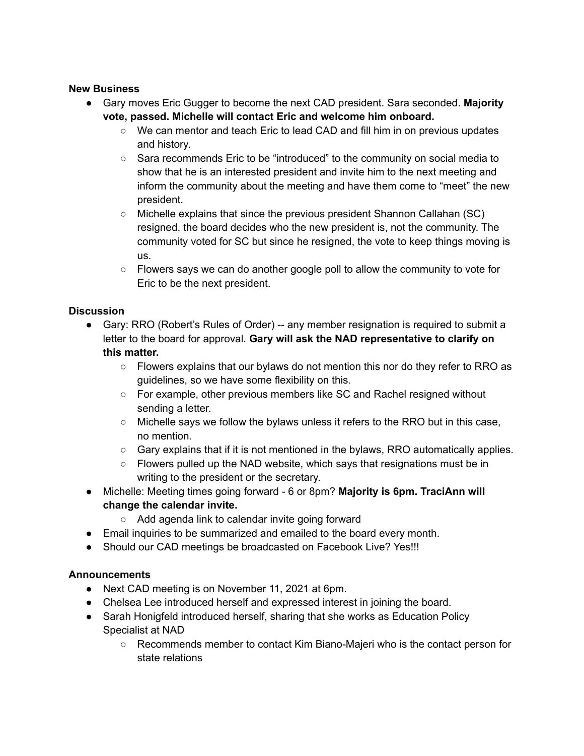### **New Business**

- **●** Gary moves Eric Gugger to become the next CAD president. Sara seconded. **Majority vote, passed. Michelle will contact Eric and welcome him onboard.**
	- We can mentor and teach Eric to lead CAD and fill him in on previous updates and history.
	- Sara recommends Eric to be "introduced" to the community on social media to show that he is an interested president and invite him to the next meeting and inform the community about the meeting and have them come to "meet" the new president.
	- Michelle explains that since the previous president Shannon Callahan (SC) resigned, the board decides who the new president is, not the community. The community voted for SC but since he resigned, the vote to keep things moving is us.
	- $\circ$  Flowers says we can do another google poll to allow the community to vote for Eric to be the next president.

# **Discussion**

- Gary: RRO (Robert's Rules of Order) -- any member resignation is required to submit a letter to the board for approval. **Gary will ask the NAD representative to clarify on this matter.**
	- Flowers explains that our bylaws do not mention this nor do they refer to RRO as guidelines, so we have some flexibility on this.
	- $\circ$  For example, other previous members like SC and Rachel resigned without sending a letter.
	- $\circ$  Michelle says we follow the bylaws unless it refers to the RRO but in this case, no mention.
	- Gary explains that if it is not mentioned in the bylaws, RRO automatically applies.
	- $\circ$  Flowers pulled up the NAD website, which says that resignations must be in writing to the president or the secretary.
- Michelle: Meeting times going forward 6 or 8pm? **Majority is 6pm. TraciAnn will change the calendar invite.**
	- Add agenda link to calendar invite going forward
- Email inquiries to be summarized and emailed to the board every month.
- Should our CAD meetings be broadcasted on Facebook Live? Yes!!!

# **Announcements**

- Next CAD meeting is on November 11, 2021 at 6pm.
- Chelsea Lee introduced herself and expressed interest in joining the board.
- Sarah Honigfeld introduced herself, sharing that she works as Education Policy Specialist at NAD
	- Recommends member to contact Kim Biano-Majeri who is the contact person for state relations